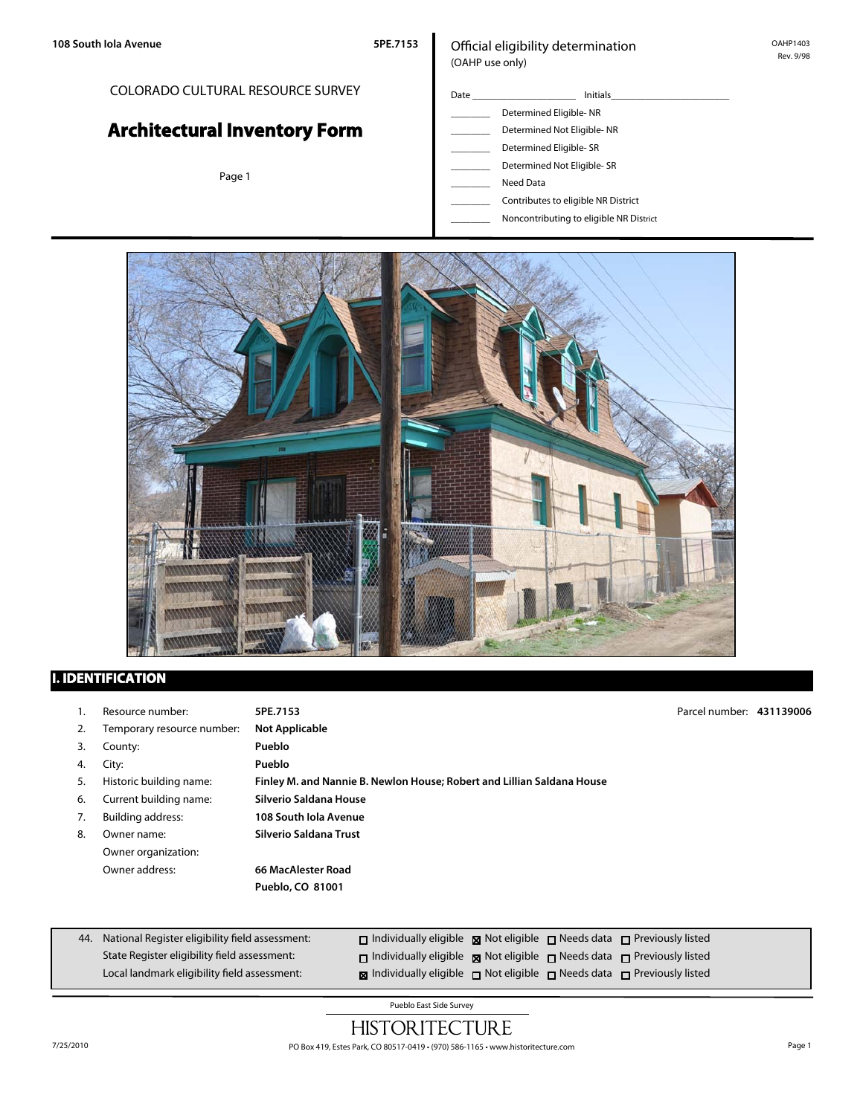## COLORADO CULTURAL RESOURCE SURVEY

# **Architectural Inventory Form**

Page 1

#### Official eligibility determination (OAHP use only)

- Date \_\_\_\_\_\_\_\_\_\_\_\_\_\_\_\_\_\_\_\_\_ Initials\_\_\_\_\_\_\_\_\_\_\_\_\_\_\_\_\_\_\_\_\_\_\_\_ \_\_\_\_\_\_\_\_ Determined Eligible- NR Determined Not Eligible- NR Determined Eligible- SR Determined Not Eligible- SR Need Data
	- \_\_\_\_\_\_\_\_ Contributes to eligible NR District
	- \_\_\_\_\_\_\_\_ Noncontributing to eligible NR District



## **I. IDENTIFICATION**

| Ι. | Resource number:           | 5PE.7153                                                               | Parcel number: 431139006 |  |
|----|----------------------------|------------------------------------------------------------------------|--------------------------|--|
| 2. | Temporary resource number: | <b>Not Applicable</b>                                                  |                          |  |
| 3. | County:                    | Pueblo                                                                 |                          |  |
| 4. | City:                      | Pueblo                                                                 |                          |  |
| 5. | Historic building name:    | Finley M. and Nannie B. Newlon House; Robert and Lillian Saldana House |                          |  |
| 6. | Current building name:     | Silverio Saldana House                                                 |                          |  |
| 7. | <b>Building address:</b>   | 108 South Jola Avenue                                                  |                          |  |
| 8. | Owner name:                | Silverio Saldana Trust                                                 |                          |  |
|    | Owner organization:        |                                                                        |                          |  |
|    | Owner address:             | 66 MacAlester Road                                                     |                          |  |
|    |                            | Pueblo, CO 81001                                                       |                          |  |
|    |                            |                                                                        |                          |  |

| 44. National Register eligibility field assessment: | $\Box$ Individually eligible $\boxtimes$ Not eligible $\Box$ Needs data $\Box$ Previously listed |  |
|-----------------------------------------------------|--------------------------------------------------------------------------------------------------|--|
| State Register eligibility field assessment:        | $\Box$ Individually eligible $\boxtimes$ Not eligible $\Box$ Needs data $\Box$ Previously listed |  |
| Local landmark eligibility field assessment:        | <b>Individually eligible</b> $\Box$ Not eligible $\Box$ Needs data $\Box$ Previously listed      |  |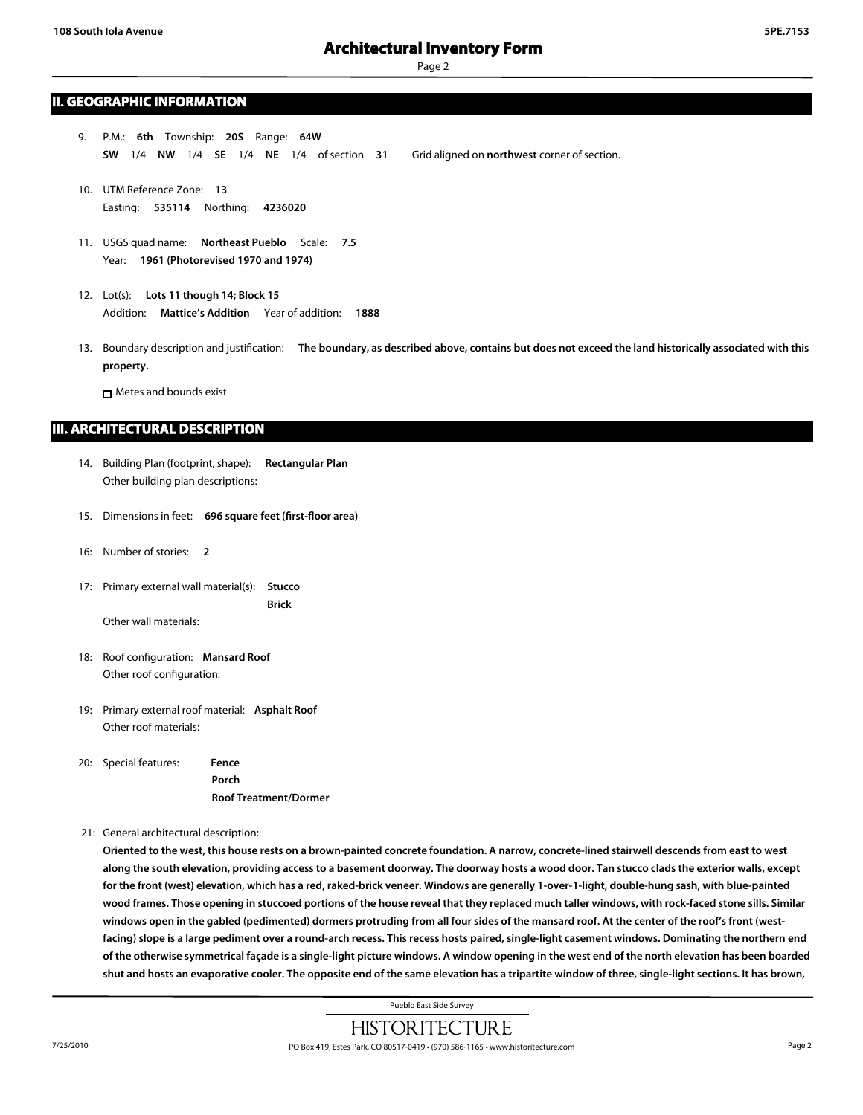Page 2

#### **II. GEOGRAPHIC INFORMATION**

- 9. P.M.: **6th** Township: **20S** Range: **64W SW** 1/4 **NW** 1/4 **SE** 1/4 **NE** 1/4 of section **31** Grid aligned on **northwest** corner of section.
- 10. UTM Reference Zone: **13** Easting: **535114** Northing: **4236020**
- 11. USGS quad name: **Northeast Pueblo** Scale: **7.5** Year: **1961 (Photorevised 1970 and 1974)**
- 12. Lot(s): **Lots 11 though 14; Block 15** Addition: **Mattice's Addition** Year of addition: **1888**
- 13. Boundary description and justification: **The boundary, as described above, contains but does not exceed the land historically associated with this property.**

**n** Metes and bounds exist

#### **III. ARCHITECTURAL DESCRIPTION**

- 14. Building Plan (footprint, shape): **Rectangular Plan** Other building plan descriptions:
- 15. Dimensions in feet: **696 square feet (first-floor area)**
- 16: Number of stories: **2**
- 17: Primary external wall material(s): **Stucco Brick** Other wall materials:

- 18: Roof configuration: **Mansard Roof** Other roof configuration:
- 19: Primary external roof material: **Asphalt Roof** Other roof materials:

20: Special features: **Fence Porch Roof Treatment/Dormer**

21: General architectural description:

**Oriented to the west, this house rests on a brown-painted concrete foundation. A narrow, concrete-lined stairwell descends from east to west along the south elevation, providing access to a basement doorway. The doorway hosts a wood door. Tan stucco clads the exterior walls, except for the front (west) elevation, which has a red, raked-brick veneer. Windows are generally 1-over-1-light, double-hung sash, with blue-painted wood frames. Those opening in stuccoed portions of the house reveal that they replaced much taller windows, with rock-faced stone sills. Similar windows open in the gabled (pedimented) dormers protruding from all four sides of the mansard roof. At the center of the roof's front (westfacing) slope is a large pediment over a round-arch recess. This recess hosts paired, single-light casement windows. Dominating the northern end of the otherwise symmetrical façade is a single-light picture windows. A window opening in the west end of the north elevation has been boarded shut and hosts an evaporative cooler. The opposite end of the same elevation has a tripartite window of three, single-light sections. It has brown,**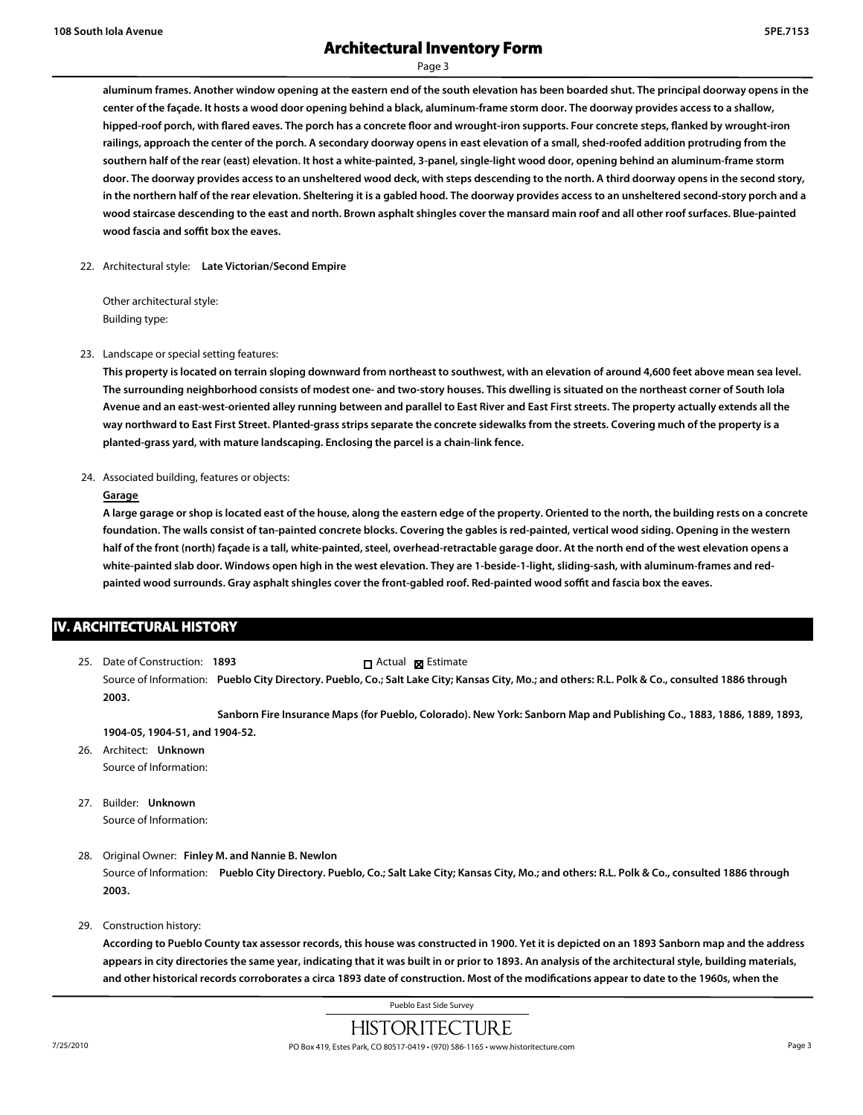Page 3

**aluminum frames. Another window opening at the eastern end of the south elevation has been boarded shut. The principal doorway opens in the center of the façade. It hosts a wood door opening behind a black, aluminum-frame storm door. The doorway provides access to a shallow, hipped-roof porch, with flared eaves. The porch has a concrete floor and wrought-iron supports. Four concrete steps, flanked by wrought-iron railings, approach the center of the porch. A secondary doorway opens in east elevation of a small, shed-roofed addition protruding from the southern half of the rear (east) elevation. It host a white-painted, 3-panel, single-light wood door, opening behind an aluminum-frame storm door. The doorway provides access to an unsheltered wood deck, with steps descending to the north. A third doorway opens in the second story, in the northern half of the rear elevation. Sheltering it is a gabled hood. The doorway provides access to an unsheltered second-story porch and a wood staircase descending to the east and north. Brown asphalt shingles cover the mansard main roof and all other roof surfaces. Blue-painted wood fascia and soffit box the eaves.**

22. Architectural style: **Late Victorian/Second Empire**

Other architectural style: Building type:

23. Landscape or special setting features:

**This property is located on terrain sloping downward from northeast to southwest, with an elevation of around 4,600 feet above mean sea level. The surrounding neighborhood consists of modest one- and two-story houses. This dwelling is situated on the northeast corner of South Iola Avenue and an east-west-oriented alley running between and parallel to East River and East First streets. The property actually extends all the way northward to East First Street. Planted-grass strips separate the concrete sidewalks from the streets. Covering much of the property is a planted-grass yard, with mature landscaping. Enclosing the parcel is a chain-link fence.**

24. Associated building, features or objects:

#### **Garage**

**A large garage or shop is located east of the house, along the eastern edge of the property. Oriented to the north, the building rests on a concrete foundation. The walls consist of tan-painted concrete blocks. Covering the gables is red-painted, vertical wood siding. Opening in the western half of the front (north) façade is a tall, white-painted, steel, overhead-retractable garage door. At the north end of the west elevation opens a white-painted slab door. Windows open high in the west elevation. They are 1-beside-1-light, sliding-sash, with aluminum-frames and redpainted wood surrounds. Gray asphalt shingles cover the front-gabled roof. Red-painted wood soffit and fascia box the eaves.**

### **IV. ARCHITECTURAL HISTORY**

25. Date of Construction: **1893** Source of Information: **Pueblo City Directory. Pueblo, Co.; Salt Lake City; Kansas City, Mo.; and others: R.L. Polk & Co., consulted 1886 through 2003.** Actual **Ex** Estimate

**Sanborn Fire Insurance Maps (for Pueblo, Colorado). New York: Sanborn Map and Publishing Co., 1883, 1886, 1889, 1893, 1904-05, 1904-51, and 1904-52.**

- 26. Architect: **Unknown** Source of Information:
- 27. Builder: **Unknown** Source of Information:
- 28. Original Owner: **Finley M. and Nannie B. Newlon**

Source of Information: **Pueblo City Directory. Pueblo, Co.; Salt Lake City; Kansas City, Mo.; and others: R.L. Polk & Co., consulted 1886 through 2003.**

29. Construction history:

**According to Pueblo County tax assessor records, this house was constructed in 1900. Yet it is depicted on an 1893 Sanborn map and the address appears in city directories the same year, indicating that it was built in or prior to 1893. An analysis of the architectural style, building materials, and other historical records corroborates a circa 1893 date of construction. Most of the modifications appear to date to the 1960s, when the**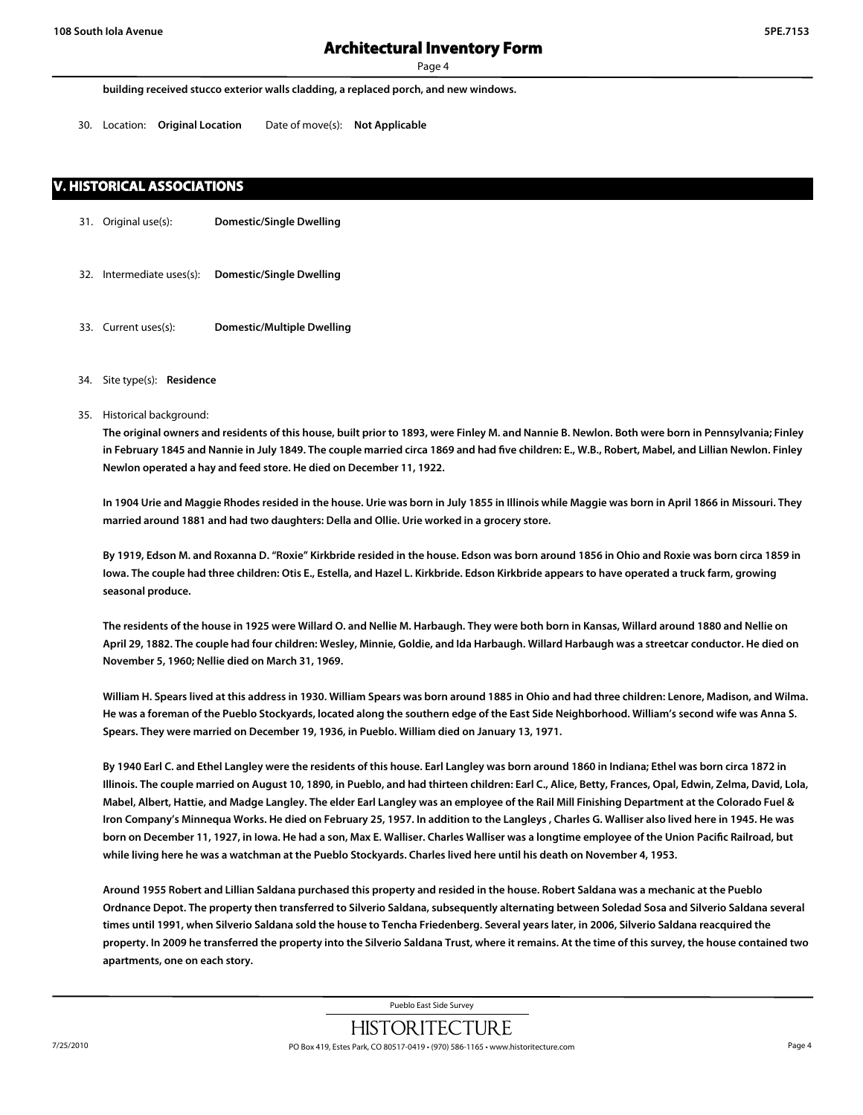Page 4

**building received stucco exterior walls cladding, a replaced porch, and new windows.**

30. Location: **Original Location** Date of move(s): **Not Applicable**

#### **V. HISTORICAL ASSOCIATIONS**

- 31. Original use(s): **Domestic/Single Dwelling**
- 32. Intermediate uses(s): **Domestic/Single Dwelling**
- 33. Current uses(s): **Domestic/Multiple Dwelling**
- 34. Site type(s): **Residence**
- 35. Historical background:

**The original owners and residents of this house, built prior to 1893, were Finley M. and Nannie B. Newlon. Both were born in Pennsylvania; Finley in February 1845 and Nannie in July 1849. The couple married circa 1869 and had five children: E., W.B., Robert, Mabel, and Lillian Newlon. Finley Newlon operated a hay and feed store. He died on December 11, 1922.**

**In 1904 Urie and Maggie Rhodes resided in the house. Urie was born in July 1855 in Illinois while Maggie was born in April 1866 in Missouri. They married around 1881 and had two daughters: Della and Ollie. Urie worked in a grocery store.** 

**By 1919, Edson M. and Roxanna D. "Roxie" Kirkbride resided in the house. Edson was born around 1856 in Ohio and Roxie was born circa 1859 in Iowa. The couple had three children: Otis E., Estella, and Hazel L. Kirkbride. Edson Kirkbride appears to have operated a truck farm, growing seasonal produce.**

**The residents of the house in 1925 were Willard O. and Nellie M. Harbaugh. They were both born in Kansas, Willard around 1880 and Nellie on April 29, 1882. The couple had four children: Wesley, Minnie, Goldie, and Ida Harbaugh. Willard Harbaugh was a streetcar conductor. He died on November 5, 1960; Nellie died on March 31, 1969.**

**William H. Spears lived at this address in 1930. William Spears was born around 1885 in Ohio and had three children: Lenore, Madison, and Wilma. He was a foreman of the Pueblo Stockyards, located along the southern edge of the East Side Neighborhood. William's second wife was Anna S. Spears. They were married on December 19, 1936, in Pueblo. William died on January 13, 1971.**

**By 1940 Earl C. and Ethel Langley were the residents of this house. Earl Langley was born around 1860 in Indiana; Ethel was born circa 1872 in Illinois. The couple married on August 10, 1890, in Pueblo, and had thirteen children: Earl C., Alice, Betty, Frances, Opal, Edwin, Zelma, David, Lola, Mabel, Albert, Hattie, and Madge Langley. The elder Earl Langley was an employee of the Rail Mill Finishing Department at the Colorado Fuel & Iron Company's Minnequa Works. He died on February 25, 1957. In addition to the Langleys , Charles G. Walliser also lived here in 1945. He was born on December 11, 1927, in Iowa. He had a son, Max E. Walliser. Charles Walliser was a longtime employee of the Union Pacific Railroad, but while living here he was a watchman at the Pueblo Stockyards. Charles lived here until his death on November 4, 1953.**

**Around 1955 Robert and Lillian Saldana purchased this property and resided in the house. Robert Saldana was a mechanic at the Pueblo Ordnance Depot. The property then transferred to Silverio Saldana, subsequently alternating between Soledad Sosa and Silverio Saldana several times until 1991, when Silverio Saldana sold the house to Tencha Friedenberg. Several years later, in 2006, Silverio Saldana reacquired the property. In 2009 he transferred the property into the Silverio Saldana Trust, where it remains. At the time of this survey, the house contained two apartments, one on each story.**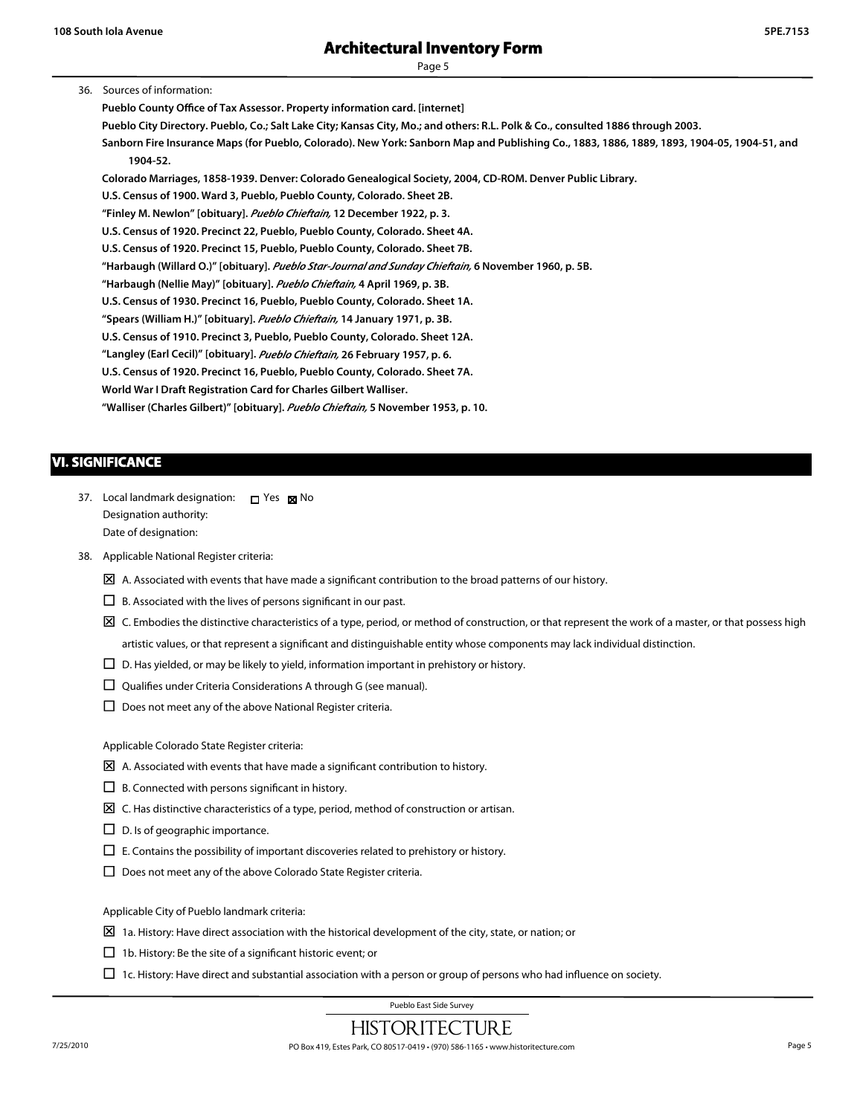Page 5

#### 36. Sources of information:

**Pueblo County Office of Tax Assessor. Property information card. [internet] Pueblo City Directory. Pueblo, Co.; Salt Lake City; Kansas City, Mo.; and others: R.L. Polk & Co., consulted 1886 through 2003. Sanborn Fire Insurance Maps (for Pueblo, Colorado). New York: Sanborn Map and Publishing Co., 1883, 1886, 1889, 1893, 1904-05, 1904-51, and 1904-52. Colorado Marriages, 1858-1939. Denver: Colorado Genealogical Society, 2004, CD-ROM. Denver Public Library. U.S. Census of 1900. Ward 3, Pueblo, Pueblo County, Colorado. Sheet 2B. "Finley M. Newlon" [obituary].** *Pueblo Chieftain,* **12 December 1922, p. 3.**

**U.S. Census of 1920. Precinct 22, Pueblo, Pueblo County, Colorado. Sheet 4A. U.S. Census of 1920. Precinct 15, Pueblo, Pueblo County, Colorado. Sheet 7B. "Harbaugh (Willard O.)" [obituary].** *Pueblo Star-Journal and Sunday Chieftain,* **6 November 1960, p. 5B.**

**"Harbaugh (Nellie May)" [obituary].** *Pueblo Chieftain,* **4 April 1969, p. 3B.**

**U.S. Census of 1930. Precinct 16, Pueblo, Pueblo County, Colorado. Sheet 1A.**

**"Spears (William H.)" [obituary].** *Pueblo Chieftain,* **14 January 1971, p. 3B.**

**U.S. Census of 1910. Precinct 3, Pueblo, Pueblo County, Colorado. Sheet 12A.**

**"Langley (Earl Cecil)" [obituary].** *Pueblo Chieftain,* **26 February 1957, p. 6.**

**U.S. Census of 1920. Precinct 16, Pueblo, Pueblo County, Colorado. Sheet 7A.**

**World War I Draft Registration Card for Charles Gilbert Walliser.**

**"Walliser (Charles Gilbert)" [obituary].** *Pueblo Chieftain,* **5 November 1953, p. 10.**

### **VI. SIGNIFICANCE**

- 37. Local landmark designation:  $\Box$  Yes  $\boxtimes$  No Designation authority: Date of designation:
- 38. Applicable National Register criteria:
	- $\boxtimes$  A. Associated with events that have made a significant contribution to the broad patterns of our history.
	- $\Box$  B. Associated with the lives of persons significant in our past.
	- $\boxtimes$  C. Embodies the distinctive characteristics of a type, period, or method of construction, or that represent the work of a master, or that possess high artistic values, or that represent a significant and distinguishable entity whose components may lack individual distinction.
	- $\Box$  D. Has yielded, or may be likely to yield, information important in prehistory or history.
	- $\Box$  Qualifies under Criteria Considerations A through G (see manual).
	- $\square$  Does not meet any of the above National Register criteria.

Applicable Colorado State Register criteria:

- $\boxtimes$  A. Associated with events that have made a significant contribution to history.
- $\Box$  B. Connected with persons significant in history.
- $\boxtimes$  C. Has distinctive characteristics of a type, period, method of construction or artisan.
- $\Box$  D. Is of geographic importance.
- $\Box$  E. Contains the possibility of important discoveries related to prehistory or history.
- $\Box$  Does not meet any of the above Colorado State Register criteria.

Applicable City of Pueblo landmark criteria:

- $\boxtimes$  1a. History: Have direct association with the historical development of the city, state, or nation; or
- $\Box$  1b. History: Be the site of a significant historic event; or
- $\Box$  1c. History: Have direct and substantial association with a person or group of persons who had influence on society.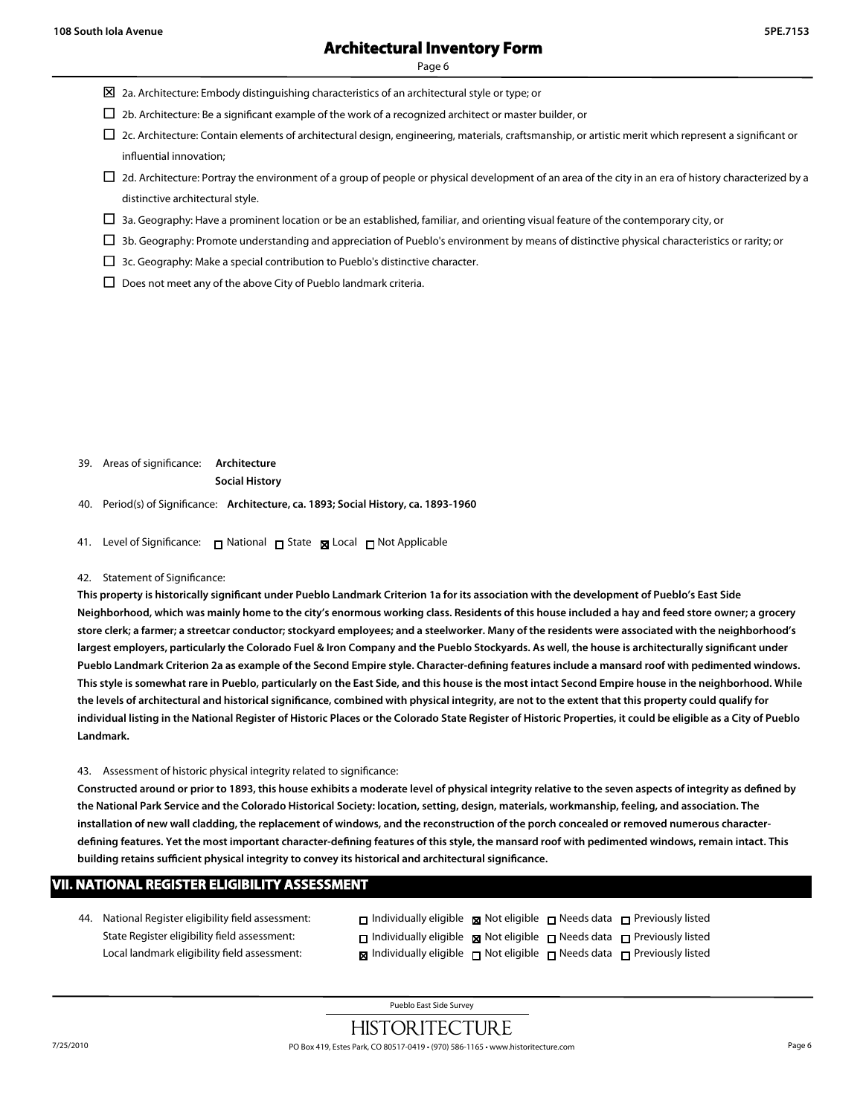Page 6

- $\boxtimes$  2a. Architecture: Embody distinguishing characteristics of an architectural style or type; or
- $\Box$  2b. Architecture: Be a significant example of the work of a recognized architect or master builder, or
- $\Box$  2c. Architecture: Contain elements of architectural design, engineering, materials, craftsmanship, or artistic merit which represent a significant or influential innovation;
- $\Box$  2d. Architecture: Portray the environment of a group of people or physical development of an area of the city in an era of history characterized by a distinctive architectural style.
- $\Box$  3a. Geography: Have a prominent location or be an established, familiar, and orienting visual feature of the contemporary city, or
- $\Box$  3b. Geography: Promote understanding and appreciation of Pueblo's environment by means of distinctive physical characteristics or rarity; or
- □ 3c. Geography: Make a special contribution to Pueblo's distinctive character.
- $\Box$  Does not meet any of the above City of Pueblo landmark criteria.

39. Areas of significance: **Architecture Social History**

40. Period(s) of Significance: **Architecture, ca. 1893; Social History, ca. 1893-1960**

41. Level of Significance: □ National □ State 図 Local □ Not Applicable

#### 42. Statement of Significance:

**This property is historically significant under Pueblo Landmark Criterion 1a for its association with the development of Pueblo's East Side Neighborhood, which was mainly home to the city's enormous working class. Residents of this house included a hay and feed store owner; a grocery store clerk; a farmer; a streetcar conductor; stockyard employees; and a steelworker. Many of the residents were associated with the neighborhood's largest employers, particularly the Colorado Fuel & Iron Company and the Pueblo Stockyards. As well, the house is architecturally significant under Pueblo Landmark Criterion 2a as example of the Second Empire style. Character-defining features include a mansard roof with pedimented windows. This style is somewhat rare in Pueblo, particularly on the East Side, and this house is the most intact Second Empire house in the neighborhood. While the levels of architectural and historical significance, combined with physical integrity, are not to the extent that this property could qualify for individual listing in the National Register of Historic Places or the Colorado State Register of Historic Properties, it could be eligible as a City of Pueblo Landmark.**

43. Assessment of historic physical integrity related to significance:

**Constructed around or prior to 1893, this house exhibits a moderate level of physical integrity relative to the seven aspects of integrity as defined by the National Park Service and the Colorado Historical Society: location, setting, design, materials, workmanship, feeling, and association. The installation of new wall cladding, the replacement of windows, and the reconstruction of the porch concealed or removed numerous characterdefining features. Yet the most important character-defining features of this style, the mansard roof with pedimented windows, remain intact. This building retains sufficient physical integrity to convey its historical and architectural significance.**

#### **VII. NATIONAL REGISTER ELIGIBILITY ASSESSMENT**

44. National Register eligibility field assessment: State Register eligibility field assessment: Local landmark eligibility field assessment:

| $\Box$ Individually eligible $\Box$ Not eligible $\Box$ Needs data $\Box$ Previously listed      |  |  |
|--------------------------------------------------------------------------------------------------|--|--|
| $\Box$ Individually eligible $\Box$ Not eligible $\Box$ Needs data $\Box$ Previously listed      |  |  |
| $\boxtimes$ Individually eligible $\Box$ Not eligible $\Box$ Needs data $\Box$ Previously listed |  |  |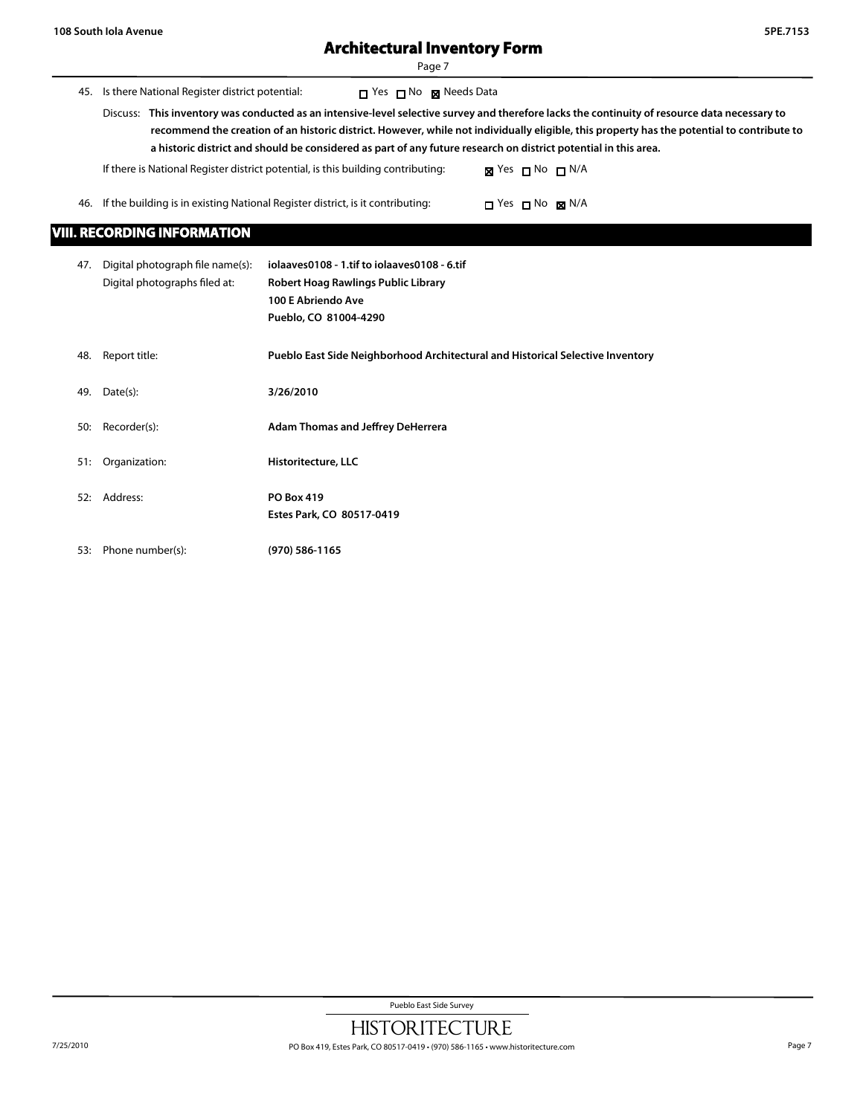$\overline{\phantom{0}}$ 

# **Architectural Inventory Form**

Page 7

| 45.                                | Is there National Register district potential:                                                                  | T Yes ⊓ No ⊠ Needs Data<br>Discuss: This inventory was conducted as an intensive-level selective survey and therefore lacks the continuity of resource data necessary to<br>recommend the creation of an historic district. However, while not individually eligible, this property has the potential to contribute to |  |  |  |  |
|------------------------------------|-----------------------------------------------------------------------------------------------------------------|------------------------------------------------------------------------------------------------------------------------------------------------------------------------------------------------------------------------------------------------------------------------------------------------------------------------|--|--|--|--|
|                                    | a historic district and should be considered as part of any future research on district potential in this area. |                                                                                                                                                                                                                                                                                                                        |  |  |  |  |
|                                    |                                                                                                                 | If there is National Register district potential, is this building contributing:<br>$\boxtimes$ Yes $\Box$ No $\Box$ N/A                                                                                                                                                                                               |  |  |  |  |
| 46.                                |                                                                                                                 | If the building is in existing National Register district, is it contributing:<br>$\Box$ Yes $\Box$ No $\boxtimes$ N/A                                                                                                                                                                                                 |  |  |  |  |
| <b>VIII. RECORDING INFORMATION</b> |                                                                                                                 |                                                                                                                                                                                                                                                                                                                        |  |  |  |  |
| 47.                                | Digital photograph file name(s):<br>Digital photographs filed at:                                               | iolaaves0108 - 1.tif to iolaaves0108 - 6.tif<br>Robert Hoag Rawlings Public Library<br>100 E Abriendo Ave<br>Pueblo, CO 81004-4290                                                                                                                                                                                     |  |  |  |  |
| 48.                                | Report title:                                                                                                   | Pueblo East Side Neighborhood Architectural and Historical Selective Inventory                                                                                                                                                                                                                                         |  |  |  |  |
| 49.                                | Date(s):                                                                                                        | 3/26/2010                                                                                                                                                                                                                                                                                                              |  |  |  |  |
| 50:                                | Recorder(s):                                                                                                    | <b>Adam Thomas and Jeffrey DeHerrera</b>                                                                                                                                                                                                                                                                               |  |  |  |  |
| 51:                                | Organization:                                                                                                   | Historitecture, LLC                                                                                                                                                                                                                                                                                                    |  |  |  |  |
| 52:                                | Address:                                                                                                        | <b>PO Box 419</b><br>Estes Park, CO 80517-0419                                                                                                                                                                                                                                                                         |  |  |  |  |

53: Phone number(s): **(970) 586-1165**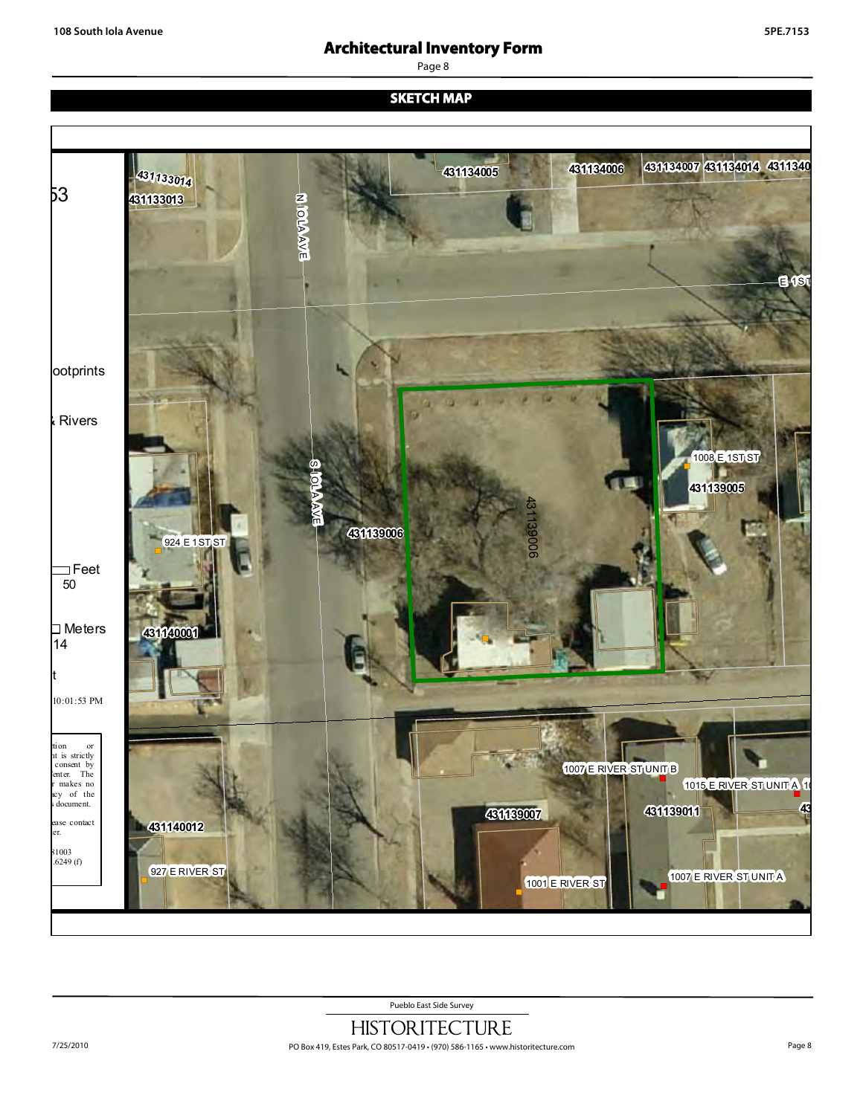Page 8

**SKETCH MAP**